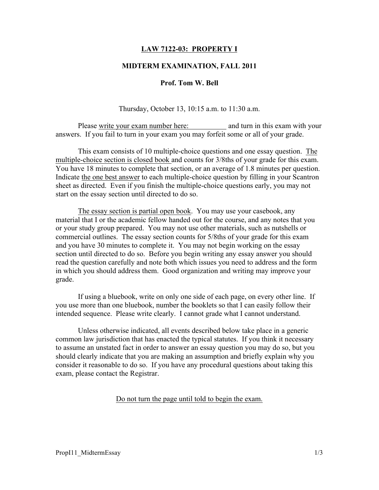# LAW 7122-03: PROPERTY I

## MIDTERM EXAMINATION, FALL 2011

## Prof. Tom W. Bell

Thursday, October 13, 10:15 a.m. to 11:30 a.m.

Please write your exam number here: and turn in this exam with your answers. If you fail to turn in your exam you may forfeit some or all of your grade.

This exam consists of 10 multiple-choice questions and one essay question. The multiple-choice section is closed book and counts for 3/8ths of your grade for this exam. You have 18 minutes to complete that section, or an average of 1.8 minutes per question. Indicate the one best answer to each multiple-choice question by filling in your Scantron sheet as directed. Even if you finish the multiple-choice questions early, you may not start on the essay section until directed to do so.

The essay section is partial open book. You may use your casebook, any material that I or the academic fellow handed out for the course, and any notes that you or your study group prepared. You may not use other materials, such as nutshells or commercial outlines. The essay section counts for 5/8ths of your grade for this exam and you have 30 minutes to complete it. You may not begin working on the essay section until directed to do so. Before you begin writing any essay answer you should read the question carefully and note both which issues you need to address and the form in which you should address them. Good organization and writing may improve your grade.

If using a bluebook, write on only one side of each page, on every other line. If you use more than one bluebook, number the booklets so that I can easily follow their intended sequence. Please write clearly. I cannot grade what I cannot understand.

Unless otherwise indicated, all events described below take place in a generic common law jurisdiction that has enacted the typical statutes. If you think it necessary to assume an unstated fact in order to answer an essay question you may do so, but you should clearly indicate that you are making an assumption and briefly explain why you consider it reasonable to do so. If you have any procedural questions about taking this exam, please contact the Registrar.

#### Do not turn the page until told to begin the exam.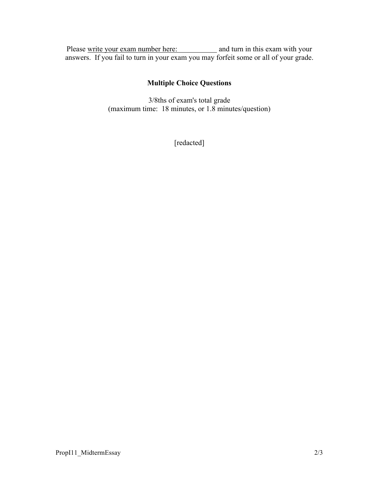Please write your exam number here: and turn in this exam with your answers. If you fail to turn in your exam you may forfeit some or all of your grade.

# Multiple Choice Questions

3/8ths of exam's total grade (maximum time: 18 minutes, or 1.8 minutes/question)

[redacted]